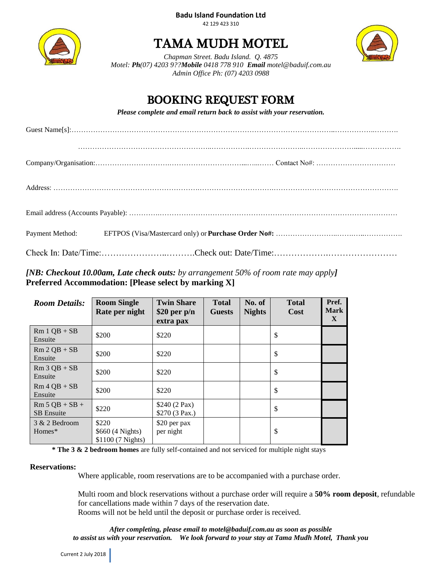#### **Badu Island Foundation Ltd** 42 129 423 310



# TAMA MUDH MOTEL



*Chapman Street. Badu Island. Q. 4875 Motel: Ph(07) 4203 9??Mobile 0418 778 910 Email [motel@baduif.com.au](mailto:motel@baduif.com.au) Admin Office Ph: (07) 4203 0988*

## BOOKING REQUEST FORM

*Please complete and email return back to assist with your reservation.*

### *[NB: Checkout 10.00am, Late check outs: by arrangement 50% of room rate may apply]* **Preferred Accommodation: [Please select by marking X]**

| <b>Room Details:</b>                  | <b>Room Single</b><br>Rate per night           | <b>Twin Share</b><br>$$20$ per p/n<br>extra pax | <b>Total</b><br><b>Guests</b> | No. of<br><b>Nights</b> | <b>Total</b><br><b>Cost</b> | Pref.<br><b>Mark</b><br>X |
|---------------------------------------|------------------------------------------------|-------------------------------------------------|-------------------------------|-------------------------|-----------------------------|---------------------------|
| $Rm 1 QB + SB$<br>Ensuite             | \$200                                          | \$220                                           |                               |                         | \$                          |                           |
| $Rm 2 QB + SB$<br>Ensuite             | \$200                                          | \$220                                           |                               |                         | \$                          |                           |
| $Rm 3 QB + SB$<br>Ensuite             | \$200                                          | \$220                                           |                               |                         | \$                          |                           |
| $Rm 4 QB + SB$<br>Ensuite             | \$200                                          | \$220                                           |                               |                         | \$                          |                           |
| $Rm 5 QB + SB +$<br><b>SB</b> Ensuite | \$220                                          | \$240 (2 Pax)<br>\$270 (3 Pax.)                 |                               |                         | \$                          |                           |
| 3 & 2 Bedroom<br>$Homes*$             | \$220<br>\$660 (4 Nights)<br>\$1100 (7 Nights) | \$20 per pax<br>per night                       |                               |                         | \$                          |                           |

**\* The 3 & 2 bedroom homes** are fully self-contained and not serviced for multiple night stays

#### **Reservations:**

Where applicable, room reservations are to be accompanied with a purchase order.

Multi room and block reservations without a purchase order will require a **50% room deposit**, refundable for cancellations made within 7 days of the reservation date. Rooms will not be held until the deposit or purchase order is received.

*After completing, please email to [motel@baduif.com.au](mailto:motel@baduif.com.au) as soon as possible to assist us with your reservation. We look forward to your stay at Tama Mudh Motel, Thank you*